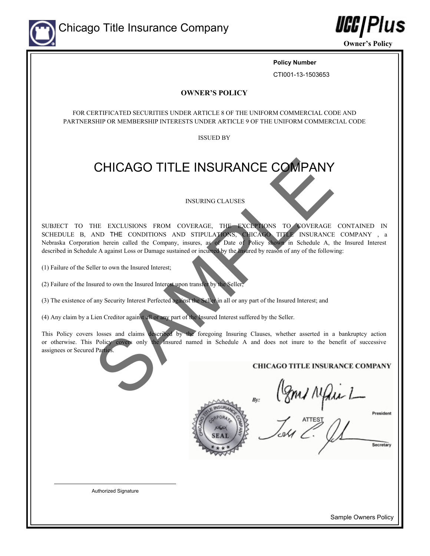



 **Owner's Policy** 

**Policy Number**

CTI001-13-1503653

# **OWNER'S POLICY**

FOR CERTIFICATED SECURITIES UNDER ARTICLE 8 OF THE UNIFORM COMMERCIAL CODE AND PARTNERSHIP OR MEMBERSHIP INTERESTS UNDER ARTICLE 9 OF THE UNIFORM COMMERCIAL CODE

ISSUED BY

# CHICAGO TITLE INSURANCE COMPANY

INSURING CLAUSES

SUBJECT TO THE EXCLUSIONS FROM COVERAGE, THE EXCEPTIONS TO COVERAGE CONTAINED IN SCHEDULE B, AND THE CONDITIONS AND STIPULATIONS, CHICAGO TITLE INSURANCE COMPANY , a Nebraska Corporation herein called the Company, insures, as of Date of Policy shown in Schedule A, the Insured Interest described in Schedule A against Loss or Damage sustained or incurred by the Insured by reason of any of the following: **CHICAGO TITLE INSURANCE COMPANY**<br>
INSURING CLAUSES<br>
INFORMATIONS TO COVERAGE<br>
INTERNATIONS AND STIPULATIONS CONTINUES.<br>
NEWSPANCE CONDITIONS AND STIPULATIONS COVERAGE<br>
III TO COVER ARE CONDITIONS AND STIPULATIONS CONTINUE

(1) Failure of the Seller to own the Insured Interest;

(2) Failure of the Insured to own the Insured Interest upon transfer by the Seller;

(3) The existence of any Security Interest Perfected against the Seller in all or any part of the Insured Interest; and

(4) Any claim by a Lien Creditor against all or any part of the Insured Interest suffered by the Seller.

This Policy covers losses and claims described by the foregoing Insuring Clauses, whether asserted in a bankruptcy action or otherwise. This Policy covers only the Insured named in Schedule A and does not inure to the benefit of successive assignees or Secured Parties.

President

Secretary

Authorized Signature

Sample Owners Policy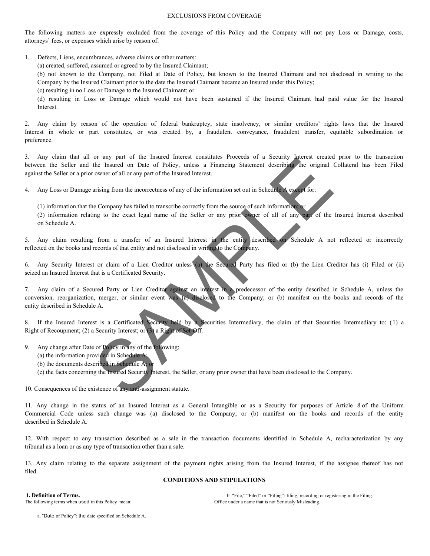# EXCLUSIONS FROM COVERAGE

The following matters are expressly excluded from the coverage of this Policy and the Company will not pay Loss or Damage, costs, attorneys' fees, or expenses which arise by reason of:

1. Defects, Liens, encumbrances, adverse claims or other matters: (a) created, suffered, assumed or agreed to by the Insured Claimant; (b) not known to the Company, not Filed at Date of Policy, but known to the Insured Claimant and not disclosed in writing to the Company by the Insured Claimant prior to the date the Insured Claimant became an Insured under this Policy; (c) resulting in no Loss or Damage to the Insured Claimant; or (d) resulting in Loss or Damage which would not have been sustained if the Insured Claimant had paid value for the Insured **Interest** 

2. Any claim by reason of the operation of federal bankruptcy, state insolvency, or similar creditors' rights laws that the Insured Interest in whole or part constitutes, or was created by, a fraudulent conveyance, fraudulent transfer, equitable subordination or preference.

3. Any claim that all or any part of the Insured Interest constitutes Proceeds of a Security Interest created prior to the transaction between the Seller and the Insured on Date of Policy, unless a Financing Statement describing the original Collateral has been Filed against the Seller or a prior owner of all or any part of the Insured Interest.

4. Any Loss or Damage arising from the incorrectness of any of the information set out in Schedule A except for:

- (1) information that the Company has failed to transcribe correctly from the source of such information; or
- (2) information relating to the exact legal name of the Seller or any prior owner of all of any part of the Insured Interest described on Schedule A.

5. Any claim resulting from a transfer of an Insured Interest in the entity described on Schedule A not reflected or incorrectly reflected on the books and records of that entity and not disclosed in writing to the Company.

6. Any Security Interest or claim of a Lien Creditor unless (a) the Secured Party has filed or (b) the Lien Creditor has (i) Filed or (ii) seized an Insured Interest that is a Certificated Security.

7. Any claim of a Secured Party or Lien Creditor against an interest in a predecessor of the entity described in Schedule A, unless the conversion, reorganization, merger, or similar event was (a) disclosed to the Company; or (b) manifest on the books and records of the entity described in Schedule A. of any part of an insured interest constructed on the Selection of the threat method of the matter of an insured on Date of Policy, unless a Financing Statement describes the original of one original of original of the Ins

8. If the Insured Interest is a Certificated Security held by a Securities Intermediary, the claim of that Securities Intermediary to: (1) a Right of Recoupment; (2) a Security Interest; or (3) a Right of Set-Off.

- 9. Any change after Date of Policy in any of the following:
	- (a) the information provided in Schedule A;
	- (b) the documents described in Schedule A; or
	- (c) the facts concerning the Insured Security Interest, the Seller, or any prior owner that have been disclosed to the Company.

10. Consequences of the existence of any anti-assignment statute.

11. Any change in the status of an Insured Interest as a General Intangible or as a Security for purposes of Article 8 of the Uniform Commercial Code unless such change was (a) disclosed to the Company; or (b) manifest on the books and records of the entity described in Schedule A.

12. With respect to any transaction described as a sale in the transaction documents identified in Schedule A, recharacterization by any tribunal as a loan or as any type of transaction other than a sale.

13. Any claim relating to the separate assignment of the payment rights arising from the Insured Interest, if the assignee thereof has not filed.

# **CONDITIONS AND STIPULATIONS**

**1. Definition of Terms. b.** "File," "Filed" or "Filing, recording or registering in the Filing. The following terms when used in this Policy mean: Office under a name that is not Seriously Misleading.

a. "Date of Policy": the date specified on Schedule A.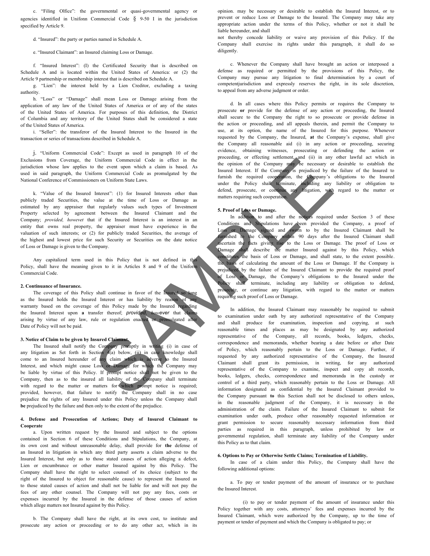c. "Filing Olfice": the governmental or quasi-governmental agency or agencies identified in Unifonn Commercial Code  $\S$  9-50 I in the jurisdiction specified by Article 9.

d. "Insured": the party or parties named in Schedule A.

#### e. "Insured Claimant": an Insured claiming Loss or Damage.

f. "Insured Interest": (I) the Certificated Security that is described on Schedule A and is located within the United States of America: or (2) the Article 9 partnership or membership interest that is described on Schedule A.

g. "Lien": the interest held by a Lien Creditor, excluding a taxing authority.

h. "Loss" or "Damage" shall mean Loss or Damage arising from the application of any law of the United States of America or of any of the states of the United States of America. For purposes of this definition, the District of Columbia and any territory of the United States shall be considered a state of the United States of America.

i. "Seller": the transferor of the Insured Interest to the Insured in the transaction or series of transactions described in Schedule A.

j. "Uniform Commercial Code": Except as used in paragraph 10 of the Exclusions from Coverage, the Uniform Commercial Code in effect in the jurisdiction whose law applies to the event upon which a claim is based. As used in said paragraph, the Uniform Commercial Code as promulgated by the National Conference of Commissioners on Uniform State Laws.

k. "Value of the Insured Interest": (1) for Insured Interests other than publicly traded Securities, the value at the time of Loss or Damage as estimated by any appraiser that regularly values such types of Investment Property selected by agreement between the Insured Claimant and the Company; *provided, howevet* that if the Insured Interest is an interest in an entity that owns real property, the appraiser must have experience in the valuation of such interests; or (2) for publicly traded Securities, the average of the highest and lowest price for such Security or Securities on the date notice of Loss or Damage is given to the Company.

Any capitalized term used in this Policy that is not defined in this Policy, shall have the meaning given to it in Articles 8 and 9 of the Uniform Commercial Code.

#### **2. Continuance of Insurance.**

The coverage of this Policy shall continue in favor of the Insured so long as the Insured holds the Insured Interest or has liability by reason of warranty based on the coverage of this Policy made by the Insured regarding the Insured Interest upon a transfer thereof; *provided, however* that arising by virtue of any law, rule or regulation enacted or promulgated after Date of Policy will not be paid.

# **3. Notice of Claim to be given by Insured Claimant.**

The Insured shall notify the Company promptly in writing (i) in case of any litigation as Set forth in Section 4(a) below, (ii) in case knowledge shall come to an Insured hereunder of any claim which is adverse to the Insured Interest, and which might cause Loss or Damage for which the Company may be liable by virtue of this Policy. If prompt notice shall not be given to the Company, then as to the insured all liability of the Company shall terminate with regard to the matter or matters for which prompt notice is required; provided, however, that failure to notify the Company shall in no case prejudice the rights of any Insured under this Policy unless the Company shall **be** prejudiced by the failure and then only to the extent of the prejudice.

# **4. Defense and Prosecution of Actions; Duty of Insured Claimant to Cooperate**

a. Upon written request by the Insured and subject to the options contained in Section 6 of these Conditions and Stipulations, the Company, at its own cost and without unreasonable delay, shall provide for **the** defense of an Insured in litigation in which any third party asserts a claim adverse to the Insured Interest, but only as to those stated causes of action alleging a defect, Lien or encumbrance or other matter Insured against by this Policy. The Company shall have the right to select counsel of its choice (subject to the right of the Insured to object for reasonable cause) to represent the Insured as to those stated causes of action and shall not be liable for and will not pay the fees of any other counsel. The Company will not pay any fees, costs or expenses incurred by the Insured in the defense of those causes of action which allege matters not Insured against by this Policy.

b. The Company shall have the right, at its own cost, to institute and prosecute any action or proceeding or to do any other act, which in its opinion. may be necessary or desirable to establish the Insured Interest, or to prevent or reduce Loss or Damage to the Insured. The Company may take any appropriate action under the terms of this Policy, whether or not it shall be liable hereunder, and shall

not thereby concede liability or waive any provision of this Policy. If the Company shall exercise its rights under this paragraph, it shall do so diligently.

c. Whenever the Company shall have brought an action or interposed a defense as required or permitted by the provisions of this Policy, the Company may pursue any litigation to final determination by a court of competentjurisdiction and expressly reserves the right, in its sole discretion, to appeal from any adverse judgment or order.

d. In all cases where this Policy permits or requires the Company to prosecute **or** provide for the defense of any action or proceeding, the Insured shall secure to the Company the right to so prosecute or provide defense in the action or proceeding, and all appeals therein, and permit the Company to use, at its option, the name of the Insured for this purpose. Whenever requested by the Company, the Insured, **at** the Company's expense, shall give the Company all reasonable aid (i) in any action or proceeding, securing evidence, obtaining witnesses, prosecuting or defending the action or proceeding, or effecting settlement, and (ii) in any other lawful act which in the opinion of the Company may be necessary or desirable to establish the Insured Interest. If the Company is prejudiced by the failure of the Insured to furnish the required cooperation, the Company's obligations to the Insured under the Policy shall terminate, including any liability or obligation to defend, prosecute, or continue any litigation, with regard to the matter or matters requiring such cooperation.

#### **5. Proof of Loss or Damage.**

In addition to and after the notices required under Section 3 of these Conditions and Stipulations have been provided the Company, a proof of Loss or Damage signed and sworn to by the Insured Claimant shall be furnished to the Company within 90 days after the Insured Claimant shall ascertain the facts giving rise to the Loss or Damage. The proof of Loss or Damage shall describe the matter Insured against by this Policy, which constitutes the basis of Loss or Damage, and shall state, to the extent possible. the basis of calculating the amount of the Loss or Damage. If the Company is prejudiced by the failure of the Insured Claimant to provide the required proof of Loss or Damage, the Company's obligations to the Insured under the Policy shall terminate, including any liability or obligation to defend, prosecute, or continue any litigation, with regard to the matter or matters requiring such proof of Loss or Damage.

In addition, the Insured Claimant may reasonably be required to submit to examination under oath by any authorized representative of the Company and shall produce for examination, inspection and copying, at such reasonable times and places as may be designated by any authorized representative of the Company, all records, books, ledgers, checks, correspondence and memoranda, whether bearing a date before or after Date of Policy, which reasonably pertain to the Loss or Damage. Further, if requested by any authorized representative of the Company, the Insured Claimant shall grant its permission, in writing, for any authorized representative of the Company to examine, inspect and copy alt records, books, ledgers, checks, correspondence and memoranda in the custody or control of a third party, which reasonably pertain to the Loss or Damage. All information designated as confidential by the Insured Claimant provided to the Company pursuant **to** this Section shall not be disclosed to others unless, in the reasonable judgment of the Company, it is necessary in the administration of the claim. Failure of the Insured Claimant to submit for examination under oath, produce other reasonably requested information or grant permission to secure reasonably necessary information from third parties as required in this paragraph, unless prohibited by law or governmental regulation, shall terminate any liability of the Company under this Policy as to that claim. Uniform Commercial Cole in effect in the procedure, or consumer and the matter of the Company and the second in the company and the company and the company and the company when the red of the second by the families are of

### **6. Options to Pay or Otherwise Settle Claims; Termination of Liability.**

In case of a claim under this Policy, the Company shall have the following additional options:

a. To pay or tender payment of the amount of insurance or to purchase the Insured Interest.

(i) to pay or tender payment of the amount of insurance under this Policy together with any costs, attorneys' fees and expenses incurred by the Insured Claimant, which were authorized by the Company, up to the time of payment or tender of payment and which the Company is obligated to pay; or